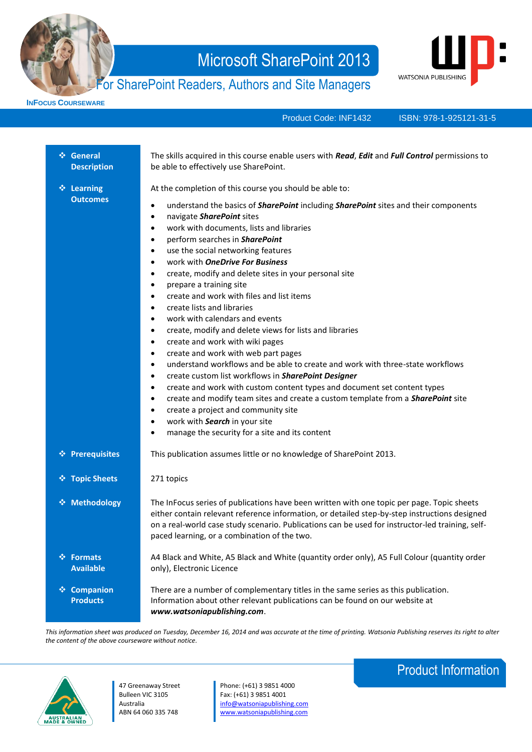

# For SharePoint Readers, Authors and Site Managers



**INFOCUS COURSEWARE**

Product Code: INF1432

ISBN: 978-1-925121-31-5

| ❖ General<br><b>Description</b>          | The skills acquired in this course enable users with Read, Edit and Full Control permissions to<br>be able to effectively use SharePoint.                                                                                                                                                                                                                                                                                                                                                                                                                                                                                                                                                                                                                                                                                                                                                                                                                                                                                                                                                                                                                                                                                                                                                                                                         |
|------------------------------------------|---------------------------------------------------------------------------------------------------------------------------------------------------------------------------------------------------------------------------------------------------------------------------------------------------------------------------------------------------------------------------------------------------------------------------------------------------------------------------------------------------------------------------------------------------------------------------------------------------------------------------------------------------------------------------------------------------------------------------------------------------------------------------------------------------------------------------------------------------------------------------------------------------------------------------------------------------------------------------------------------------------------------------------------------------------------------------------------------------------------------------------------------------------------------------------------------------------------------------------------------------------------------------------------------------------------------------------------------------|
| ❖ Learning<br><b>Outcomes</b>            | At the completion of this course you should be able to:<br>understand the basics of <b>SharePoint</b> including <b>SharePoint</b> sites and their components<br>٠<br>navigate SharePoint sites<br>$\bullet$<br>work with documents, lists and libraries<br>$\bullet$<br>perform searches in SharePoint<br>٠<br>use the social networking features<br>$\bullet$<br>work with OneDrive For Business<br>$\bullet$<br>create, modify and delete sites in your personal site<br>٠<br>prepare a training site<br>$\bullet$<br>create and work with files and list items<br>$\bullet$<br>create lists and libraries<br>$\bullet$<br>work with calendars and events<br>$\bullet$<br>create, modify and delete views for lists and libraries<br>٠<br>create and work with wiki pages<br>$\bullet$<br>create and work with web part pages<br>٠<br>understand workflows and be able to create and work with three-state workflows<br>$\bullet$<br>create custom list workflows in SharePoint Designer<br>٠<br>create and work with custom content types and document set content types<br>$\bullet$<br>create and modify team sites and create a custom template from a <b>SharePoint</b> site<br>$\bullet$<br>create a project and community site<br>$\bullet$<br>work with Search in your site<br>٠<br>manage the security for a site and its content<br>٠ |
| ❖ Prerequisites                          | This publication assumes little or no knowledge of SharePoint 2013.                                                                                                                                                                                                                                                                                                                                                                                                                                                                                                                                                                                                                                                                                                                                                                                                                                                                                                                                                                                                                                                                                                                                                                                                                                                                               |
| ❖ Topic Sheets                           | 271 topics                                                                                                                                                                                                                                                                                                                                                                                                                                                                                                                                                                                                                                                                                                                                                                                                                                                                                                                                                                                                                                                                                                                                                                                                                                                                                                                                        |
| ❖ Methodology                            | The InFocus series of publications have been written with one topic per page. Topic sheets<br>either contain relevant reference information, or detailed step-by-step instructions designed<br>on a real-world case study scenario. Publications can be used for instructor-led training, self-<br>paced learning, or a combination of the two.                                                                                                                                                                                                                                                                                                                                                                                                                                                                                                                                                                                                                                                                                                                                                                                                                                                                                                                                                                                                   |
| ❖ Formats<br><b>Available</b>            | A4 Black and White, A5 Black and White (quantity order only), A5 Full Colour (quantity order<br>only), Electronic Licence                                                                                                                                                                                                                                                                                                                                                                                                                                                                                                                                                                                                                                                                                                                                                                                                                                                                                                                                                                                                                                                                                                                                                                                                                         |
| <b>Companion</b><br>參<br><b>Products</b> | There are a number of complementary titles in the same series as this publication.<br>Information about other relevant publications can be found on our website at<br>www.watsoniapublishing.com.                                                                                                                                                                                                                                                                                                                                                                                                                                                                                                                                                                                                                                                                                                                                                                                                                                                                                                                                                                                                                                                                                                                                                 |

*This information sheet was produced on Tuesday, December 16, 2014 and was accurate at the time of printing. Watsonia Publishing reserves its right to alter the content of the above courseware without notice.*



47 Greenaway Street Bulleen VIC 3105 Australia ABN 64 060 335 748

Phone: (+61) 3 9851 4000 Fax: (+61) 3 9851 4001 [info@watsoniapublishing.com](mailto:info@watsoniapublishing.com) [www.watsoniapublishing.com](http://www.watsoniapublishing.com/)

## Product Information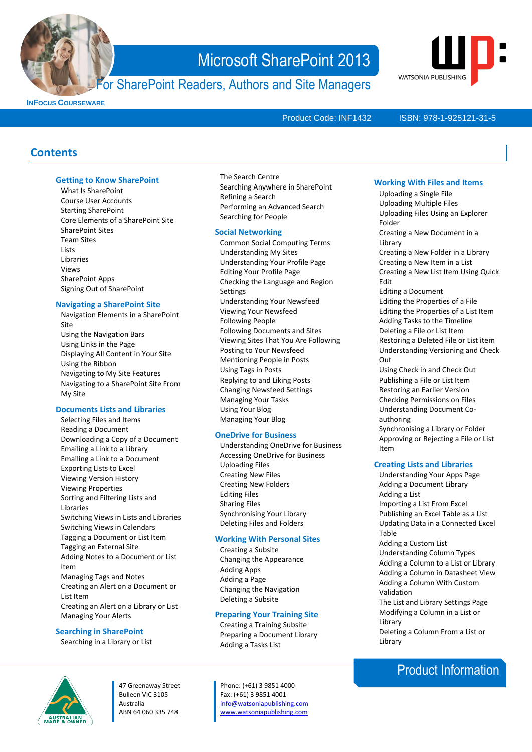

### For SharePoint Readers, Authors and Site Managers



**INFOCUS COURSEWARE**

Product Code: INF1432

### ISBN: 978-1-925121-31-5

### **Contents**

### **Getting to Know SharePoint**

What Is SharePoint Course User Accounts Starting SharePoint Core Elements of a SharePoint Site SharePoint Sites Team Sites **Lists** Libraries Views SharePoint Apps Signing Out of SharePoint

### **Navigating a SharePoint Site**

Navigation Elements in a SharePoint Site Using the Navigation Bars Using Links in the Page Displaying All Content in Your Site Using the Ribbon Navigating to My Site Features Navigating to a SharePoint Site From My Site

### **Documents Lists and Libraries**

Selecting Files and Items Reading a Document Downloading a Copy of a Document Emailing a Link to a Library Emailing a Link to a Document Exporting Lists to Excel Viewing Version History Viewing Properties Sorting and Filtering Lists and Libraries Switching Views in Lists and Libraries Switching Views in Calendars Tagging a Document or List Item Tagging an External Site Adding Notes to a Document or List Item Managing Tags and Notes Creating an Alert on a Document or List Item Creating an Alert on a Library or List Managing Your Alerts

### **Searching in SharePoint**

Searching in a Library or List

### The Search Centre Searching Anywhere in SharePoint Refining a Search Performing an Advanced Search Searching for People

### **Social Networking**

Common Social Computing Terms Understanding My Sites Understanding Your Profile Page Editing Your Profile Page Checking the Language and Region **Settings** Understanding Your Newsfeed Viewing Your Newsfeed Following People Following Documents and Sites Viewing Sites That You Are Following Posting to Your Newsfeed Mentioning People in Posts Using Tags in Posts Replying to and Liking Posts Changing Newsfeed Settings Managing Your Tasks Using Your Blog Managing Your Blog

### **OneDrive for Business**

Understanding OneDrive for Business Accessing OneDrive for Business Uploading Files Creating New Files Creating New Folders Editing Files Sharing Files Synchronising Your Library Deleting Files and Folders

### **Working With Personal Sites**

Creating a Subsite Changing the Appearance Adding Apps Adding a Page Changing the Navigation Deleting a Subsite

### **Preparing Your Training Site**

Creating a Training Subsite Preparing a Document Library Adding a Tasks List

47 Greenaway Street Bulleen VIC 3105 Australia ABN 64 060 335 748

Phone: (+61) 3 9851 4000 Fax: (+61) 3 9851 4001 [info@watsoniapublishing.com](mailto:info@watsoniapublishing.com) [www.watsoniapublishing.com](http://www.watsoniapublishing.com/)

### **Working With Files and Items**

Uploading a Single File Uploading Multiple Files Uploading Files Using an Explorer Folder Creating a New Document in a Library Creating a New Folder in a Library Creating a New Item in a List Creating a New List Item Using Quick Edit Editing a Document Editing the Properties of a File Editing the Properties of a List Item Adding Tasks to the Timeline Deleting a File or List Item Restoring a Deleted File or List item Understanding Versioning and Check Out Using Check in and Check Out Publishing a File or List Item Restoring an Earlier Version Checking Permissions on Files Understanding Document Coauthoring Synchronising a Library or Folder Approving or Rejecting a File or List Item **Creating Lists and Libraries**

- Understanding Your Apps Page Adding a Document Library Adding a List Importing a List From Excel Publishing an Excel Table as a List Updating Data in a Connected Excel Table Adding a Custom List Understanding Column Types Adding a Column to a List or Library Adding a Column in Datasheet View Adding a Column With Custom Validation The List and Library Settings Page Modifying a Column in a List or
- Library Deleting a Column From a List or Library

### Product Information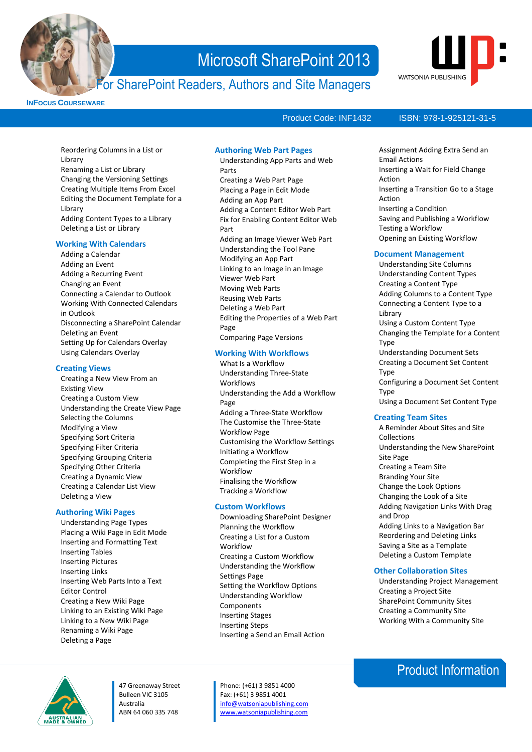

### For SharePoint Readers, Authors and Site Managers



**INFOCUS COURSEWARE**

### Product Code: INF1432

Reordering Columns in a List or **Library** Renaming a List or Library Changing the Versioning Settings Creating Multiple Items From Excel Editing the Document Template for a Library Adding Content Types to a Library Deleting a List or Library

### **Working With Calendars**

Adding a Calendar Adding an Event Adding a Recurring Event Changing an Event Connecting a Calendar to Outlook Working With Connected Calendars in Outlook Disconnecting a SharePoint Calendar Deleting an Event Setting Up for Calendars Overlay Using Calendars Overlay

### **Creating Views**

Creating a New View From an Existing View Creating a Custom View Understanding the Create View Page Selecting the Columns Modifying a View Specifying Sort Criteria Specifying Filter Criteria Specifying Grouping Criteria Specifying Other Criteria Creating a Dynamic View Creating a Calendar List View Deleting a View

### **Authoring Wiki Pages**

Understanding Page Types Placing a Wiki Page in Edit Mode Inserting and Formatting Text Inserting Tables Inserting Pictures Inserting Links Inserting Web Parts Into a Text Editor Control Creating a New Wiki Page Linking to an Existing Wiki Page Linking to a New Wiki Page Renaming a Wiki Page Deleting a Page

### **Authoring Web Part Pages**

Understanding App Parts and Web Parts Creating a Web Part Page Placing a Page in Edit Mode Adding an App Part Adding a Content Editor Web Part Fix for Enabling Content Editor Web Part Adding an Image Viewer Web Part Understanding the Tool Pane Modifying an App Part Linking to an Image in an Image Viewer Web Part Moving Web Parts Reusing Web Parts Deleting a Web Part Editing the Properties of a Web Part Page Comparing Page Versions

### **Working With Workflows**

What Is a Workflow Understanding Three-State Workflows Understanding the Add a Workflow Page Adding a Three-State Workflow The Customise the Three-State Workflow Page Customising the Workflow Settings Initiating a Workflow Completing the First Step in a Workflow Finalising the Workflow Tracking a Workflow

### **Custom Workflows**

Downloading SharePoint Designer Planning the Workflow Creating a List for a Custom Workflow Creating a Custom Workflow Understanding the Workflow Settings Page Setting the Workflow Options Understanding Workflow Components Inserting Stages Inserting Steps Inserting a Send an Email Action

Phone: (+61) 3 9851 4000 Fax: (+61) 3 9851 4001 [info@watsoniapublishing.com](mailto:info@watsoniapublishing.com) [www.watsoniapublishing.com](http://www.watsoniapublishing.com/)

### ISBN: 978-1-925121-31-5

Assignment Adding Extra Send an

- Email Actions Inserting a Wait for Field Change Action Inserting a Transition Go to a Stage Action Inserting a Condition Saving and Publishing a Workflow Testing a Workflow Opening an Existing Workflow **Document Management** Understanding Site Columns Understanding Content Types Creating a Content Type Adding Columns to a Content Type Connecting a Content Type to a **Library**
- Using a Custom Content Type Changing the Template for a Content Type Understanding Document Sets Creating a Document Set Content Type Configuring a Document Set Content
- Type
- Using a Document Set Content Type

### **Creating Team Sites**

A Reminder About Sites and Site Collections Understanding the New SharePoint Site Page Creating a Team Site Branding Your Site Change the Look Options Changing the Look of a Site Adding Navigation Links With Drag and Drop Adding Links to a Navigation Bar Reordering and Deleting Links Saving a Site as a Template Deleting a Custom Template

### **Other Collaboration Sites**

Understanding Project Management Creating a Project Site SharePoint Community Sites Creating a Community Site Working With a Community Site

### Product Information



47 Greenaway Street Bulleen VIC 3105 Australia ABN 64 060 335 748